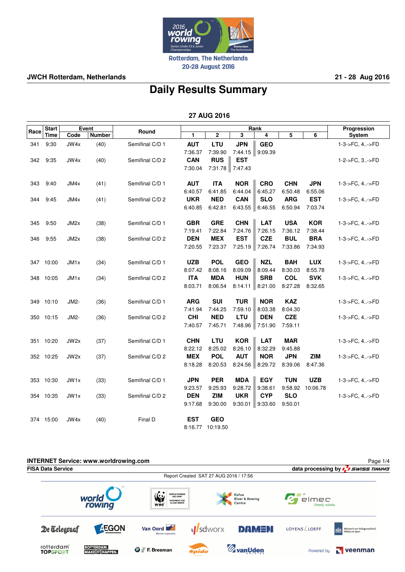

**JWCH Rotterdam, Netherlands 21 - 28 Aug 2016**

# **Daily Results Summary**

|      | Event<br><b>Start</b> |                   |               |                 |                       |                       | Progression           |                       |                       |            |                |
|------|-----------------------|-------------------|---------------|-----------------|-----------------------|-----------------------|-----------------------|-----------------------|-----------------------|------------|----------------|
| Race | Time                  | Code              | <b>Number</b> | Round           | 1                     | $\mathbf 2$           | 3                     | Rank<br>4             | 5                     | 6          | System         |
| 341  | 9:30                  | JW4x              | (40)          | Semifinal C/D 1 | <b>AUT</b>            | LTU                   | <b>JPN</b>            | <b>GEO</b>            |                       |            | 1-3->FC, 4->FD |
|      |                       |                   |               |                 | 7:36.37               | 7:39.90               | 7:44.15   9:09.39     |                       |                       |            |                |
| 342  | 9:35                  | JW4x              | (40)          | Semifinal C/D 2 | <b>CAN</b>            | <b>RUS</b>            | <b>EST</b>            |                       |                       |            | 1-2->FC, 3->FD |
|      |                       |                   |               |                 | 7:30.04               | 7:31.78 7:47.43       |                       |                       |                       |            |                |
|      |                       |                   |               |                 |                       |                       |                       |                       |                       |            |                |
| 343  | 9:40                  | JM4x              | (41)          | Semifinal C/D 1 | <b>AUT</b>            | <b>ITA</b>            | <b>NOR</b>            | <b>CRO</b>            | <b>CHN</b>            | <b>JPN</b> | 1-3->FC, 4->FD |
|      |                       |                   |               |                 | 6:40.57               | 6:41.85               | 6:44.04               | 6:45.27               | 6:50.48               | 6:55.06    |                |
| 344  | 9:45                  | JM4x              | (41)          | Semifinal C/D 2 | <b>UKR</b>            | <b>NED</b>            | <b>CAN</b>            | <b>SLO</b>            | <b>ARG</b>            | <b>EST</b> | 1-3->FC, 4->FD |
|      |                       |                   |               |                 | 6:40.85               | 6:42.81               | 6:43.55               | 6:46.55               | 6:50.94               | 7:03.74    |                |
| 345  | 9:50                  | JM <sub>2</sub> x | (38)          | Semifinal C/D 1 | <b>GBR</b>            | <b>GRE</b>            | <b>CHN</b>            | <b>LAT</b>            | <b>USA</b>            | <b>KOR</b> | 1-3->FC, 4->FD |
|      |                       |                   |               |                 | 7:19.41               | 7:22.84               | 7:24.76               | 7:26.15               | 7:36.12               | 7:38.44    |                |
| 346  | 9:55                  | JM2x              | (38)          | Semifinal C/D 2 | <b>DEN</b>            | <b>MEX</b>            | <b>EST</b>            | <b>CZE</b>            | <b>BUL</b>            | <b>BRA</b> | 1-3->FC, 4->FD |
|      |                       |                   |               |                 | 7:20.55               | 7:23.37               |                       | 7:25.19 7:26.74       | 7:33.86               | 7:34.93    |                |
|      | 347 10:00             | JM <sub>1x</sub>  | (34)          | Semifinal C/D 1 | <b>UZB</b>            | <b>POL</b>            | <b>GEO</b>            | <b>NZL</b>            | <b>BAH</b>            | <b>LUX</b> | 1-3->FC, 4->FD |
|      |                       |                   |               |                 | 8:07.42               | 8:08.16               | 8:09.09               | 8:09.44               | 8:30.03               | 8:55.78    |                |
| 348  | 10:05                 | JM <sub>1x</sub>  | (34)          | Semifinal C/D 2 | <b>ITA</b>            | <b>MDA</b>            | <b>HUN</b>            | <b>SRB</b>            | <b>COL</b>            | <b>SVK</b> | 1-3->FC, 4->FD |
|      |                       |                   |               |                 | 8:03.71               | 8:06.54               | 8:14.11               | 8:21.00               | 8:27.28               | 8:32.65    |                |
|      |                       |                   |               |                 |                       |                       |                       |                       |                       |            |                |
| 349  | 10:10                 | JM2-              | (36)          | Semifinal C/D 1 | <b>ARG</b>            | <b>SUI</b>            | <b>TUR</b>            | <b>NOR</b>            | <b>KAZ</b>            |            | 1-3->FC, 4->FD |
|      |                       |                   |               |                 | 7:41.94               | 7:44.25               | 7:59.10               | 8:03.38               | 8:04.30               |            |                |
|      | 350 10:15             | JM2-              | (36)          | Semifinal C/D 2 | <b>CHI</b>            | <b>NED</b>            | <b>LTU</b>            | <b>DEN</b>            | <b>CZE</b>            |            | 1-3->FC, 4->FD |
|      |                       |                   |               |                 | 7:40.57               | 7:45.71               | 7:48.96               | 7:51.90               | 7:59.11               |            |                |
| 351  | 10:20                 | JW <sub>2x</sub>  | (37)          | Semifinal C/D 1 | <b>CHN</b>            | <b>LTU</b>            | <b>KOR</b>            | <b>LAT</b>            | <b>MAR</b>            |            | 1-3->FC, 4->FD |
|      |                       |                   |               |                 | 8:22.12               | 8:25.02               | 8:26.10               | 8:32.29               | 9:45.88               |            |                |
|      | 352 10:25             | JW2x              | (37)          | Semifinal C/D 2 | <b>MEX</b>            | <b>POL</b>            | <b>AUT</b>            | <b>NOR</b>            | <b>JPN</b>            | <b>ZIM</b> | 1-3->FC, 4->FD |
|      |                       |                   |               |                 | 8:18.28               | 8:20.53               | 8:24.56               | 8:29.72               | 8:39.06               | 8:47.36    |                |
|      |                       |                   |               |                 |                       | <b>PER</b>            |                       | <b>EGY</b>            |                       | <b>UZB</b> |                |
|      | 353 10:30             | JW <sub>1x</sub>  | (33)          | Semifinal C/D 1 | <b>JPN</b>            |                       | <b>MDA</b>            |                       | <b>TUN</b>            |            | 1-3->FC, 4->FD |
|      |                       |                   |               | Semifinal C/D 2 | 9:23.57               | 9:25.93<br><b>ZIM</b> | 9:28.72               | 9:38.61               | 9:58.92               | 10:06.78   |                |
|      | 354 10:35             | JW <sub>1x</sub>  | (33)          |                 | <b>DEN</b><br>9:17.68 | 9:30.00               | <b>UKR</b><br>9:30.01 | <b>CYP</b><br>9:33.60 | <b>SLO</b><br>9:50.01 |            | 1-3->FC, 4->FD |
|      |                       |                   |               |                 |                       |                       |                       |                       |                       |            |                |
|      | 374 15:00             | JW4x              | (40)          | Final D         | <b>EST</b>            | <b>GEO</b>            |                       |                       |                       |            |                |
|      |                       |                   |               |                 | 8:16.77               | 10:19.50              |                       |                       |                       |            |                |

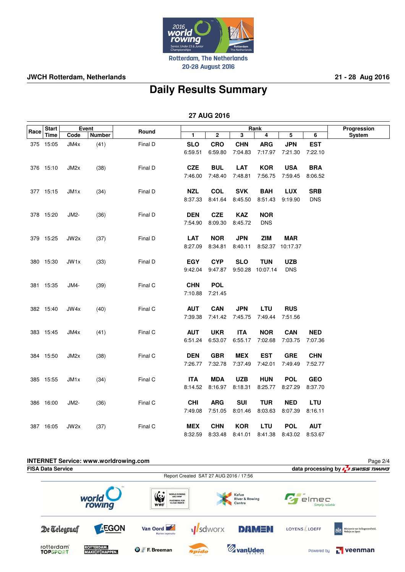

**JWCH Rotterdam, Netherlands 21 - 28 Aug 2016**

# **Daily Results Summary**

|      | <b>Start</b> |                   | Event         | Round   |              |             | Progression             |                  |                  |            |               |
|------|--------------|-------------------|---------------|---------|--------------|-------------|-------------------------|------------------|------------------|------------|---------------|
| Race | <b>Time</b>  | Code              | <b>Number</b> |         | $\mathbf{1}$ | $\mathbf 2$ | $\overline{\mathbf{3}}$ | Rank<br>4        | 5                | 6          | <b>System</b> |
|      | 375 15:05    | JM4x              | (41)          | Final D | <b>SLO</b>   | <b>CRO</b>  | <b>CHN</b>              | <b>ARG</b>       | <b>JPN</b>       | <b>EST</b> |               |
|      |              |                   |               |         | 6:59.51      | 6:59.80     | 7:04.83                 | 7:17.97          | 7:21.30          | 7:22.10    |               |
|      |              |                   |               |         |              |             |                         |                  |                  |            |               |
|      | 376 15:10    | JM2x              | (38)          | Final D | <b>CZE</b>   | <b>BUL</b>  | <b>LAT</b>              | <b>KOR</b>       | <b>USA</b>       | <b>BRA</b> |               |
|      |              |                   |               |         | 7:46.00      | 7:48.40     | 7:48.81                 | 7:56.75          | 7:59.45          | 8:06.52    |               |
|      |              |                   |               |         |              |             |                         |                  |                  |            |               |
|      | 377 15:15    | JM <sub>1x</sub>  | (34)          | Final D | <b>NZL</b>   | <b>COL</b>  | <b>SVK</b>              | <b>BAH</b>       | <b>LUX</b>       | <b>SRB</b> |               |
|      |              |                   |               |         | 8:37.33      | 8:41.64     | 8:45.50                 | 8:51.43          | 9:19.90          | <b>DNS</b> |               |
|      | 378 15:20    | JM2-              | (36)          | Final D | <b>DEN</b>   | <b>CZE</b>  | <b>KAZ</b>              | <b>NOR</b>       |                  |            |               |
|      |              |                   |               |         | 7:54.90      | 8:09.30     | 8:45.72                 | <b>DNS</b>       |                  |            |               |
|      |              |                   |               |         |              |             |                         |                  |                  |            |               |
|      | 379 15:25    | JW2x              | (37)          | Final D | <b>LAT</b>   | <b>NOR</b>  | <b>JPN</b>              | <b>ZIM</b>       | <b>MAR</b>       |            |               |
|      |              |                   |               |         | 8:27.09      | 8:34.81     | 8:40.11                 |                  | 8:52.37 10:17.37 |            |               |
|      |              |                   |               |         |              |             |                         |                  |                  |            |               |
|      | 380 15:30    | JW1x              | (33)          | Final D | <b>EGY</b>   | <b>CYP</b>  | <b>SLO</b>              | <b>TUN</b>       | <b>UZB</b>       |            |               |
|      |              |                   |               |         | 9:42.04      | 9:47.87     |                         | 9:50.28 10:07.14 | <b>DNS</b>       |            |               |
|      |              |                   |               |         |              |             |                         |                  |                  |            |               |
|      | 381 15:35    | JM4-              | (39)          | Final C | <b>CHN</b>   | <b>POL</b>  |                         |                  |                  |            |               |
|      |              |                   |               |         | 7:10.88      | 7:21.45     |                         |                  |                  |            |               |
|      | 382 15:40    | JW4x              | (40)          | Final C | <b>AUT</b>   | <b>CAN</b>  | <b>JPN</b>              | LTU              | <b>RUS</b>       |            |               |
|      |              |                   |               |         | 7:39.38      | 7:41.42     | 7:45.75                 | 7:49.44          | 7:51.56          |            |               |
|      |              |                   |               |         |              |             |                         |                  |                  |            |               |
|      | 383 15:45    | JM4x              | (41)          | Final C | <b>AUT</b>   | <b>UKR</b>  | <b>ITA</b>              | <b>NOR</b>       | <b>CAN</b>       | <b>NED</b> |               |
|      |              |                   |               |         | 6:51.24      | 6:53.07     | 6:55.17                 | 7:02.68          | 7:03.75          | 7:07.36    |               |
|      |              |                   |               |         |              |             |                         |                  |                  |            |               |
|      | 384 15:50    | JM <sub>2</sub> x | (38)          | Final C | <b>DEN</b>   | <b>GBR</b>  | <b>MEX</b>              | <b>EST</b>       | <b>GRE</b>       | <b>CHN</b> |               |
|      |              |                   |               |         | 7:26.77      | 7:32.78     | 7:37.49                 | 7:42.01          | 7:49.49          | 7:52.77    |               |
|      | 385 15:55    | JM <sub>1x</sub>  | (34)          | Final C | <b>ITA</b>   | <b>MDA</b>  | <b>UZB</b>              | <b>HUN</b>       | <b>POL</b>       | <b>GEO</b> |               |
|      |              |                   |               |         | 8:14.52      | 8:16.97     | 8:18.31                 | 8:25.77          | 8:27.29          | 8:37.70    |               |
|      |              |                   |               |         |              |             |                         |                  |                  |            |               |
|      | 386 16:00    | JM2-              | (36)          | Final C | <b>CHI</b>   | <b>ARG</b>  | <b>SUI</b>              | <b>TUR</b>       | <b>NED</b>       | LTU        |               |
|      |              |                   |               |         | 7:49.08      | 7:51.05     | 8:01.46                 | 8:03.63          | 8:07.39          | 8:16.11    |               |
|      | 387 16:05    | JW2x              | (37)          | Final C | <b>MEX</b>   | <b>CHN</b>  | <b>KOR</b>              | LTU              | <b>POL</b>       | <b>AUT</b> |               |
|      |              |                   |               |         | 8:32.59      | 8:33.48     | 8:41.01                 | 8:41.38          | 8:43.02          | 8:53.67    |               |
|      |              |                   |               |         |              |             |                         |                  |                  |            |               |

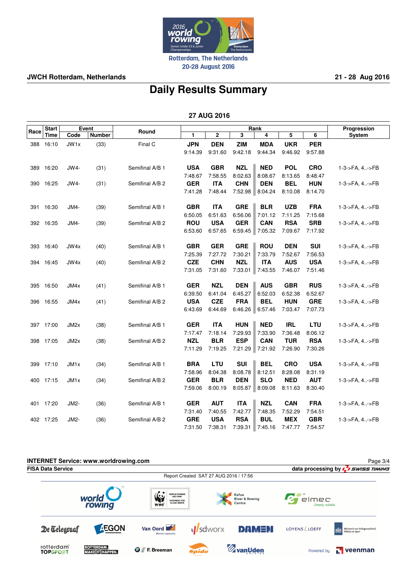

20-28 August 2016

### **JWCH Rotterdam, Netherlands 21 - 28 Aug 2016**

# **Daily Results Summary**

|      | <b>Start</b> | Event             |               |                 |            |            | Progression |            |            |            |                |
|------|--------------|-------------------|---------------|-----------------|------------|------------|-------------|------------|------------|------------|----------------|
| Race | Time         | Code              | <b>Number</b> | Round           | 1          | 2          | 3           | Rank<br>4  | 5          | 6          | <b>System</b>  |
| 388  | 16:10        | JW1x              | (33)          | Final C         | <b>JPN</b> | <b>DEN</b> | <b>ZIM</b>  | <b>MDA</b> | <b>UKR</b> | <b>PER</b> |                |
|      |              |                   |               |                 | 9:14.39    | 9:31.60    | 9:42.18     | 9:44.34    | 9:46.92    | 9:57.88    |                |
|      |              |                   |               |                 |            |            |             |            |            |            |                |
| 389  | 16:20        | JW4-              | (31)          | Semifinal A/B 1 | <b>USA</b> | <b>GBR</b> | <b>NZL</b>  | <b>NED</b> | <b>POL</b> | <b>CRO</b> | 1-3->FA, 4->FB |
|      |              |                   |               |                 | 7:48.67    | 7:58.55    | 8:02.63     | 8:08.67    | 8:13.65    | 8:48.47    |                |
|      | 390 16:25    | JW4-              | (31)          | Semifinal A/B 2 | <b>GER</b> | <b>ITA</b> | <b>CHN</b>  | <b>DEN</b> | <b>BEL</b> | <b>HUN</b> | 1-3->FA, 4->FB |
|      |              |                   |               |                 | 7:41.28    | 7:48.44    | 7:52.98     | 8:04.24    | 8:10.08    | 8:14.70    |                |
|      |              |                   |               |                 |            |            |             |            |            |            |                |
| 391  | 16:30        | JM4-              | (39)          | Semifinal A/B 1 | <b>GBR</b> | <b>ITA</b> | <b>GRE</b>  | <b>BLR</b> | <b>UZB</b> | <b>FRA</b> | 1-3->FA, 4->FB |
|      |              |                   |               |                 | 6:50.05    | 6:51.63    | 6:56.06     | 7:01.12    | 7:11.25    | 7:15.68    |                |
|      | 392 16:35    | JM4-              | (39)          | Semifinal A/B 2 | <b>ROU</b> | <b>USA</b> | <b>GER</b>  | CAN        | <b>RSA</b> | <b>SRB</b> | 1-3->FA, 4->FB |
|      |              |                   |               |                 | 6:53.60    | 6:57.65    | 6.59.45     | 7:05.32    | 7:09.67    | 7:17.92    |                |
|      |              |                   |               |                 |            |            |             |            |            |            |                |
|      | 393 16:40    | JW4x              | (40)          | Semifinal A/B 1 | <b>GBR</b> | <b>GER</b> | <b>GRE</b>  | <b>ROU</b> | <b>DEN</b> | <b>SUI</b> | 1-3->FA, 4->FB |
|      |              |                   |               |                 | 7:25.39    | 7:27.72    | 7:30.21     | 7:33.79    | 7:52.67    | 7:56.53    |                |
|      | 394 16:45    | JW4x              | (40)          | Semifinal A/B 2 | <b>CZE</b> | <b>CHN</b> | <b>NZL</b>  | <b>ITA</b> | <b>AUS</b> | <b>USA</b> | 1-3->FA, 4->FB |
|      |              |                   |               |                 | 7:31.05    | 7:31.60    | 7:33.01     | 7:43.55    | 7:46.07    | 7:51.46    |                |
|      |              |                   |               |                 |            |            |             |            |            |            |                |
| 395  | 16:50        | JM4x              | (41)          | Semifinal A/B 1 | <b>GER</b> | <b>NZL</b> | <b>DEN</b>  | <b>AUS</b> | <b>GBR</b> | <b>RUS</b> | 1-3->FA, 4->FB |
|      |              |                   |               |                 | 6:39.50    | 6:41.04    | 6:45.27     | 6:52.03    | 6:52.38    | 6:52.67    |                |
| 396  | 16:55        | JM4x              | (41)          | Semifinal A/B 2 | <b>USA</b> | <b>CZE</b> | <b>FRA</b>  | <b>BEL</b> | <b>HUN</b> | <b>GRE</b> | 1-3->FA, 4->FB |
|      |              |                   |               |                 | 6:43.69    | 6:44.69    | 6:46.26     | 6:57.46    | 7:03.47    | 7:07.73    |                |
| 397  | 17:00        | JM <sub>2</sub> x | (38)          | Semifinal A/B 1 | <b>GER</b> | <b>ITA</b> | <b>HUN</b>  | <b>NED</b> | <b>IRL</b> | LTU        | 1-3->FA, 4->FB |
|      |              |                   |               |                 | 7:17.47    | 7:18.14    | 7:29.93     | 7:33.90    | 7:36.48    | 8:06.12    |                |
| 398  | 17:05        | JM2x              | (38)          | Semifinal A/B 2 | <b>NZL</b> | <b>BLR</b> | <b>ESP</b>  | <b>CAN</b> | <b>TUR</b> | <b>RSA</b> | 1-3->FA, 4->FB |
|      |              |                   |               |                 | 7:11.29    | 7:19.25    | 7:21.29     | 7:21.92    | 7:26.90    | 7:30.26    |                |
|      |              |                   |               |                 |            |            |             |            |            |            |                |
| 399  | 17:10        | JM <sub>1x</sub>  | (34)          | Semifinal A/B 1 | <b>BRA</b> | LTU        | SUI         | <b>BEL</b> | <b>CRO</b> | <b>USA</b> | 1-3->FA, 4->FB |
|      |              |                   |               |                 | 7:58.96    | 8:04.38    | 8:08.78     | 8:12.51    | 8:28.08    | 8:31.19    |                |
| 400  | 17:15        | JM <sub>1x</sub>  | (34)          | Semifinal A/B 2 | <b>GER</b> | <b>BLR</b> | <b>DEN</b>  | <b>SLO</b> | <b>NED</b> | <b>AUT</b> | 1-3->FA, 4->FB |
|      |              |                   |               |                 | 7:59.06    | 8:00.19    | 8:05.87     | 8:09.08    | 8:11.63    | 8:30.40    |                |
|      |              |                   |               |                 |            |            |             |            |            |            |                |
| 401  | 17:20        | JM2-              | (36)          | Semifinal A/B 1 | <b>GER</b> | <b>AUT</b> | <b>ITA</b>  | <b>NZL</b> | CAN        | <b>FRA</b> | 1-3->FA, 4->FB |
|      |              |                   |               |                 | 7:31.40    | 7:40.55    | 7:42.77     | 7:48.35    | 7:52.29    | 7:54.51    |                |
|      | 402 17:25    | JM2-              | (36)          | Semifinal A/B 2 | <b>GRE</b> | <b>USA</b> | <b>RSA</b>  | <b>BUL</b> | <b>MEX</b> | <b>GBR</b> | 1-3->FA, 4->FB |
|      |              |                   |               |                 | 7:31.50    | 7:38.31    | 7:39.31     | 7:45.16    | 7:47.77    | 7:54.57    |                |